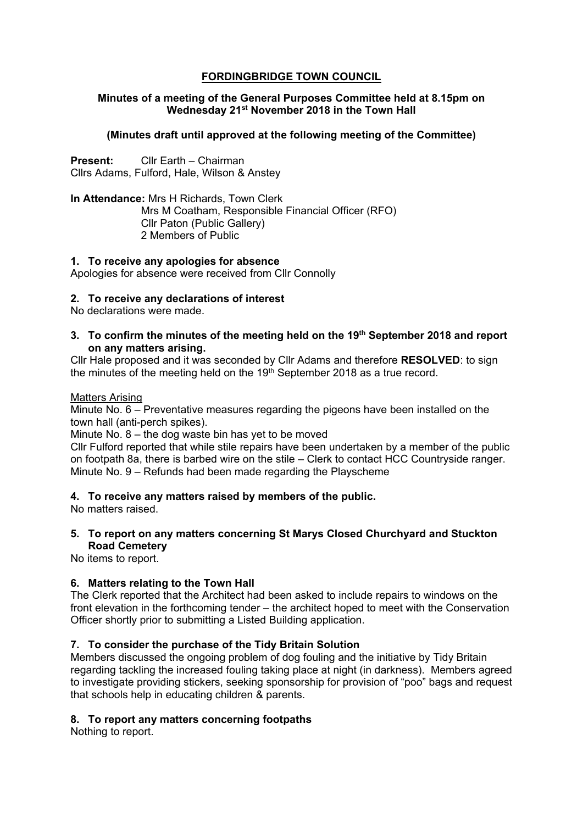# **FORDINGBRIDGE TOWN COUNCIL**

## **Minutes of a meeting of the General Purposes Committee held at 8.15pm on Wednesday 21st November 2018 in the Town Hall**

# **(Minutes draft until approved at the following meeting of the Committee)**

**Present:** Cllr Earth – Chairman Cllrs Adams, Fulford, Hale, Wilson & Anstey

**In Attendance:** Mrs H Richards, Town Clerk Mrs M Coatham, Responsible Financial Officer (RFO) Cllr Paton (Public Gallery) 2 Members of Public

## **1. To receive any apologies for absence**

Apologies for absence were received from Cllr Connolly

### **2. To receive any declarations of interest**

No declarations were made.

### **3. To confirm the minutes of the meeting held on the 19th September 2018 and report on any matters arising.**

Cllr Hale proposed and it was seconded by Cllr Adams and therefore **RESOLVED**: to sign the minutes of the meeting held on the  $19<sup>th</sup>$  September 2018 as a true record.

#### Matters Arising

Minute No. 6 – Preventative measures regarding the pigeons have been installed on the town hall (anti-perch spikes).

Minute No. 8 – the dog waste bin has yet to be moved

Cllr Fulford reported that while stile repairs have been undertaken by a member of the public on footpath 8a, there is barbed wire on the stile – Clerk to contact HCC Countryside ranger. Minute No. 9 – Refunds had been made regarding the Playscheme

## **4. To receive any matters raised by members of the public.**

No matters raised.

**5. To report on any matters concerning St Marys Closed Churchyard and Stuckton Road Cemetery** 

No items to report.

## **6. Matters relating to the Town Hall**

The Clerk reported that the Architect had been asked to include repairs to windows on the front elevation in the forthcoming tender – the architect hoped to meet with the Conservation Officer shortly prior to submitting a Listed Building application.

## **7. To consider the purchase of the Tidy Britain Solution**

Members discussed the ongoing problem of dog fouling and the initiative by Tidy Britain regarding tackling the increased fouling taking place at night (in darkness). Members agreed to investigate providing stickers, seeking sponsorship for provision of "poo" bags and request that schools help in educating children & parents.

## **8. To report any matters concerning footpaths**

Nothing to report.